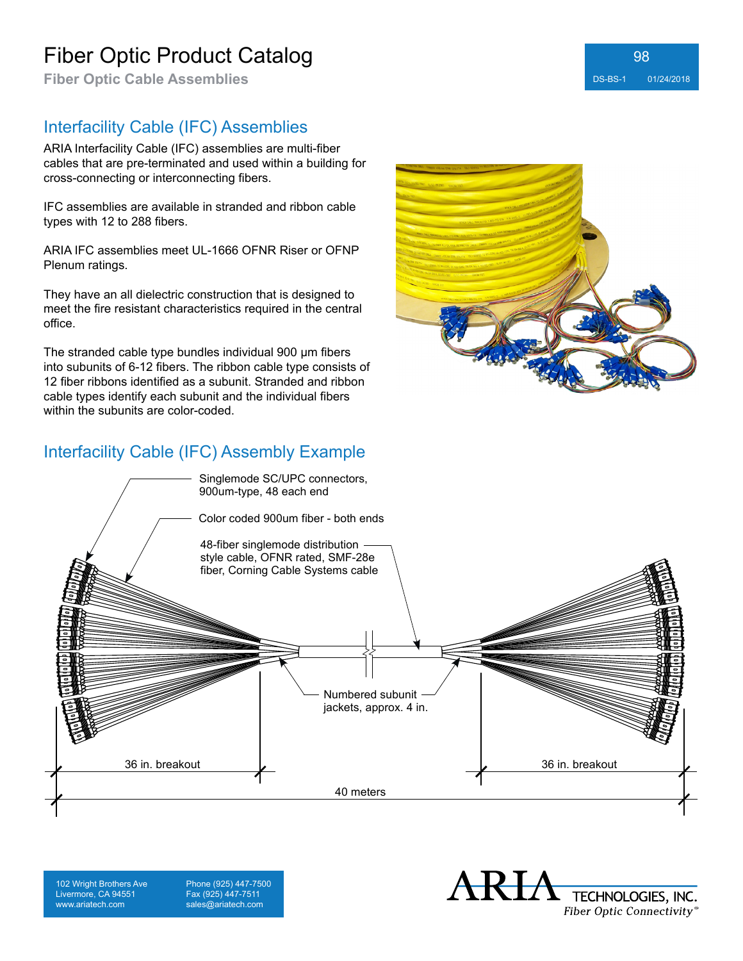# Fiber Optic Product Catalog

**Fiber Optic Cable Assemblies** DS-BS-1 01/24/2018

#### Interfacility Cable (IFC) Assemblies

ARIA Interfacility Cable (IFC) assemblies are multi-fiber cables that are pre-terminated and used within a building for cross-connecting or interconnecting fibers.

IFC assemblies are available in stranded and ribbon cable types with 12 to 288 fibers.

ARIA IFC assemblies meet UL-1666 OFNR Riser or OFNP Plenum ratings.

They have an all dielectric construction that is designed to meet the fire resistant characteristics required in the central office.

The stranded cable type bundles individual 900 μm fibers into subunits of 6-12 fibers. The ribbon cable type consists of 12 fiber ribbons identified as a subunit. Stranded and ribbon cable types identify each subunit and the individual fibers within the subunits are color-coded.

### Interfacility Cable (IFC) Assembly Example



102 Wright Brothers Ave Livermore, CA 94551 www.ariatech.com

Phone (925) 447-7500 Fax (925) 447-7511 sales@ariatech.com